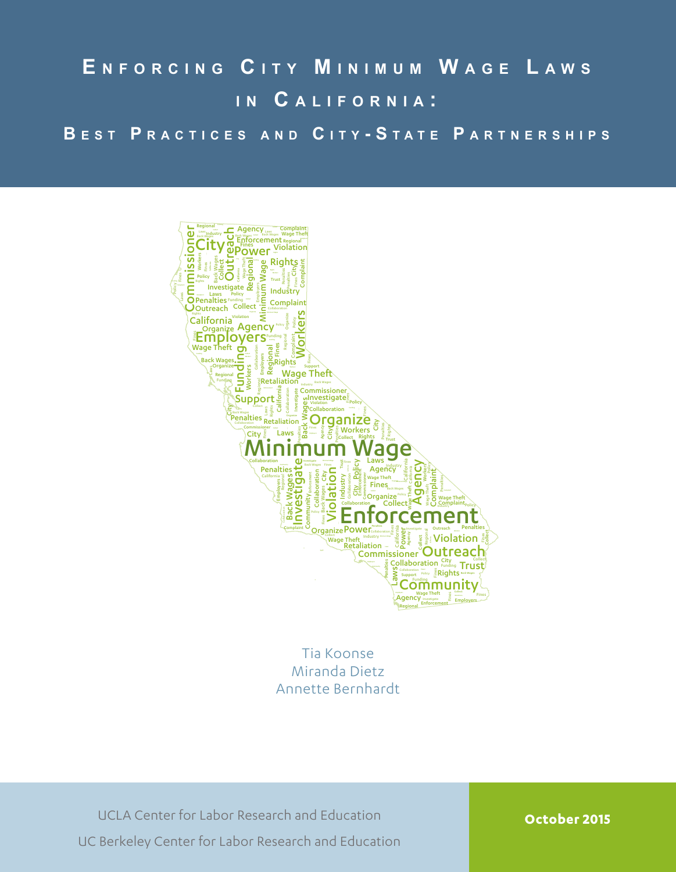# **E n f o r c i n g C i t y M i n i m u m W a g e L a w s i n C a l i f o r n i a :**

**B e s t P r a c t i c e s a n d C i t y - S t a t e P a r t n e r s h i p s**



Tia Koonse Miranda Dietz Annette Bernhardt

UCLA Center for Labor Research and Education UC Berkeley Center for Labor Research and Education

**October 2015**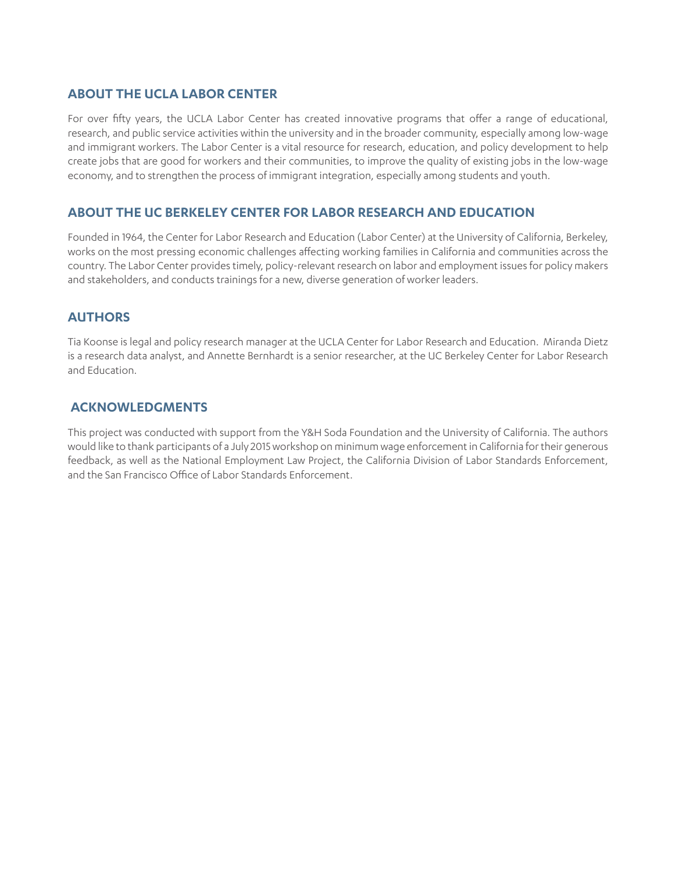### **ABOUT THE UCLA LABOR CENTER**

For over fifty years, the UCLA Labor Center has created innovative programs that offer a range of educational, research, and public service activities within the university and in the broader community, especially among low-wage and immigrant workers. The Labor Center is a vital resource for research, education, and policy development to help create jobs that are good for workers and their communities, to improve the quality of existing jobs in the low-wage economy, and to strengthen the process of immigrant integration, especially among students and youth.

### **ABOUT THE UC BERKELEY CENTER FOR LABOR RESEARCH AND EDUCATION**

Founded in 1964, the Center for Labor Research and Education (Labor Center) at the University of California, Berkeley, works on the most pressing economic challenges affecting working families in California and communities across the country. The Labor Center provides timely, policy-relevant research on labor and employment issues for policy makers and stakeholders, and conducts trainings for a new, diverse generation of worker leaders.

#### **AUTHORS**

Tia Koonse is legal and policy research manager at the UCLA Center for Labor Research and Education. Miranda Dietz is a research data analyst, and Annette Bernhardt is a senior researcher, at the UC Berkeley Center for Labor Research and Education.

#### **ACKNOWLEDGMENTS**

This project was conducted with support from the Y&H Soda Foundation and the University of California. The authors would like to thank participants of a July 2015 workshop on minimum wage enforcement in California for their generous feedback, as well as the National Employment Law Project, the California Division of Labor Standards Enforcement, and the San Francisco Office of Labor Standards Enforcement.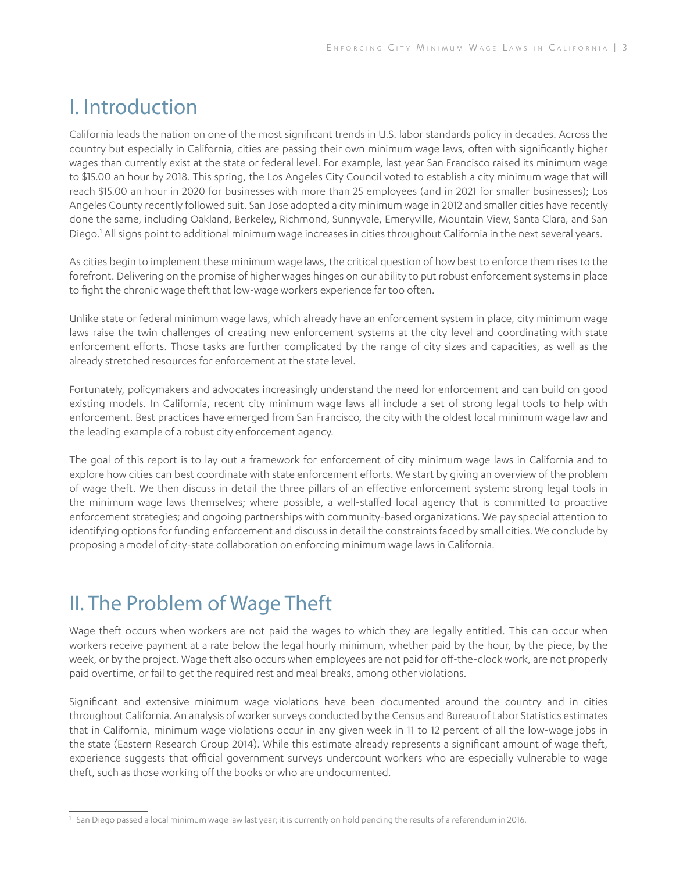# I. Introduction

California leads the nation on one of the most significant trends in U.S. labor standards policy in decades. Across the country but especially in California, cities are passing their own minimum wage laws, often with significantly higher wages than currently exist at the state or federal level. For example, last year San Francisco raised its minimum wage to \$15.00 an hour by 2018. This spring, the Los Angeles City Council voted to establish a city minimum wage that will reach \$15.00 an hour in 2020 for businesses with more than 25 employees (and in 2021 for smaller businesses); Los Angeles County recently followed suit. San Jose adopted a city minimum wage in 2012 and smaller cities have recently done the same, including Oakland, Berkeley, Richmond, Sunnyvale, Emeryville, Mountain View, Santa Clara, and San Diego.<sup>1</sup> All signs point to additional minimum wage increases in cities throughout California in the next several years.

As cities begin to implement these minimum wage laws, the critical question of how best to enforce them rises to the forefront. Delivering on the promise of higher wages hinges on our ability to put robust enforcement systems in place to fight the chronic wage theft that low-wage workers experience far too often.

Unlike state or federal minimum wage laws, which already have an enforcement system in place, city minimum wage laws raise the twin challenges of creating new enforcement systems at the city level and coordinating with state enforcement efforts. Those tasks are further complicated by the range of city sizes and capacities, as well as the already stretched resources for enforcement at the state level.

Fortunately, policymakers and advocates increasingly understand the need for enforcement and can build on good existing models. In California, recent city minimum wage laws all include a set of strong legal tools to help with enforcement. Best practices have emerged from San Francisco, the city with the oldest local minimum wage law and the leading example of a robust city enforcement agency.

The goal of this report is to lay out a framework for enforcement of city minimum wage laws in California and to explore how cities can best coordinate with state enforcement efforts. We start by giving an overview of the problem of wage theft. We then discuss in detail the three pillars of an effective enforcement system: strong legal tools in the minimum wage laws themselves; where possible, a well-staffed local agency that is committed to proactive enforcement strategies; and ongoing partnerships with community-based organizations. We pay special attention to identifying options for funding enforcement and discuss in detail the constraints faced by small cities. We conclude by proposing a model of city-state collaboration on enforcing minimum wage laws in California.

# II. The Problem of Wage Theft

Wage theft occurs when workers are not paid the wages to which they are legally entitled. This can occur when workers receive payment at a rate below the legal hourly minimum, whether paid by the hour, by the piece, by the week, or by the project. Wage theft also occurs when employees are not paid for off-the-clock work, are not properly paid overtime, or fail to get the required rest and meal breaks, among other violations.

Significant and extensive minimum wage violations have been documented around the country and in cities throughout California. An analysis of worker surveys conducted by the Census and Bureau of Labor Statistics estimates that in California, minimum wage violations occur in any given week in 11 to 12 percent of all the low-wage jobs in the state (Eastern Research Group 2014). While this estimate already represents a significant amount of wage theft, experience suggests that official government surveys undercount workers who are especially vulnerable to wage theft, such as those working off the books or who are undocumented.

<sup>1</sup> San Diego passed a local minimum wage law last year; it is currently on hold pending the results of a referendum in 2016.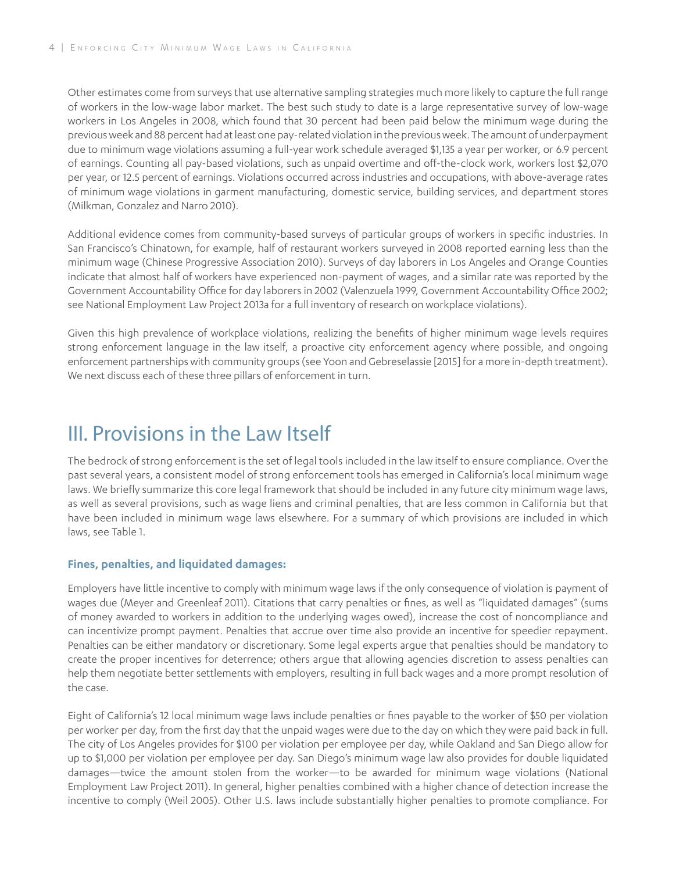Other estimates come from surveys that use alternative sampling strategies much more likely to capture the full range of workers in the low-wage labor market. The best such study to date is a large representative survey of low-wage workers in Los Angeles in 2008, which found that 30 percent had been paid below the minimum wage during the previous week and 88 percent had at least one pay-related violation in the previous week. The amount of underpayment due to minimum wage violations assuming a full-year work schedule averaged \$1,135 a year per worker, or 6.9 percent of earnings. Counting all pay-based violations, such as unpaid overtime and off-the-clock work, workers lost \$2,070 per year, or 12.5 percent of earnings. Violations occurred across industries and occupations, with above-average rates of minimum wage violations in garment manufacturing, domestic service, building services, and department stores (Milkman, Gonzalez and Narro 2010).

Additional evidence comes from community-based surveys of particular groups of workers in specific industries. In San Francisco's Chinatown, for example, half of restaurant workers surveyed in 2008 reported earning less than the minimum wage (Chinese Progressive Association 2010). Surveys of day laborers in Los Angeles and Orange Counties indicate that almost half of workers have experienced non-payment of wages, and a similar rate was reported by the Government Accountability Office for day laborers in 2002 (Valenzuela 1999, Government Accountability Office 2002; see National Employment Law Project 2013a for a full inventory of research on workplace violations).

Given this high prevalence of workplace violations, realizing the benefits of higher minimum wage levels requires strong enforcement language in the law itself, a proactive city enforcement agency where possible, and ongoing enforcement partnerships with community groups (see Yoon and Gebreselassie [2015] for a more in-depth treatment). We next discuss each of these three pillars of enforcement in turn.

# III. Provisions in the Law Itself

The bedrock of strong enforcement is the set of legal tools included in the law itself to ensure compliance. Over the past several years, a consistent model of strong enforcement tools has emerged in California's local minimum wage laws. We briefly summarize this core legal framework that should be included in any future city minimum wage laws, as well as several provisions, such as wage liens and criminal penalties, that are less common in California but that have been included in minimum wage laws elsewhere. For a summary of which provisions are included in which laws, see Table 1.

#### **Fines, penalties, and liquidated damages:**

Employers have little incentive to comply with minimum wage laws if the only consequence of violation is payment of wages due (Meyer and Greenleaf 2011). Citations that carry penalties or fines, as well as "liquidated damages" (sums of money awarded to workers in addition to the underlying wages owed), increase the cost of noncompliance and can incentivize prompt payment. Penalties that accrue over time also provide an incentive for speedier repayment. Penalties can be either mandatory or discretionary. Some legal experts argue that penalties should be mandatory to create the proper incentives for deterrence; others argue that allowing agencies discretion to assess penalties can help them negotiate better settlements with employers, resulting in full back wages and a more prompt resolution of the case.

Eight of California's 12 local minimum wage laws include penalties or fines payable to the worker of \$50 per violation per worker per day, from the first day that the unpaid wages were due to the day on which they were paid back in full. The city of Los Angeles provides for \$100 per violation per employee per day, while Oakland and San Diego allow for up to \$1,000 per violation per employee per day. San Diego's minimum wage law also provides for double liquidated damages—twice the amount stolen from the worker—to be awarded for minimum wage violations (National Employment Law Project 2011). In general, higher penalties combined with a higher chance of detection increase the incentive to comply (Weil 2005). Other U.S. laws include substantially higher penalties to promote compliance. For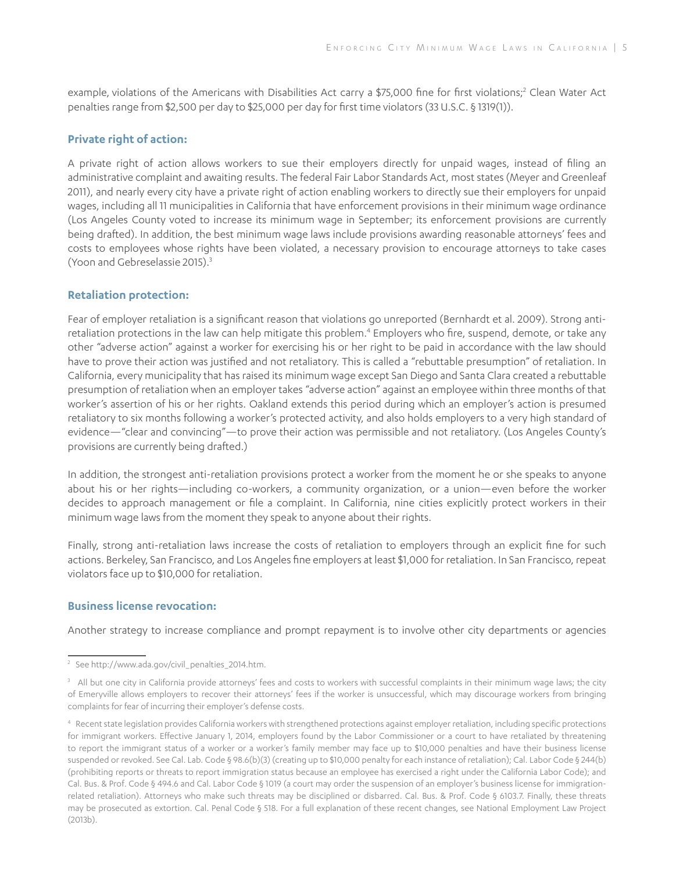example, violations of the Americans with Disabilities Act carry a \$75,000 fine for first violations;<sup>2</sup> Clean Water Act penalties range from \$2,500 per day to \$25,000 per day for first time violators (33 U.S.C. § 1319(1)).

#### **Private right of action:**

A private right of action allows workers to sue their employers directly for unpaid wages, instead of filing an administrative complaint and awaiting results. The federal Fair Labor Standards Act, most states (Meyer and Greenleaf 2011), and nearly every city have a private right of action enabling workers to directly sue their employers for unpaid wages, including all 11 municipalities in California that have enforcement provisions in their minimum wage ordinance (Los Angeles County voted to increase its minimum wage in September; its enforcement provisions are currently being drafted). In addition, the best minimum wage laws include provisions awarding reasonable attorneys' fees and costs to employees whose rights have been violated, a necessary provision to encourage attorneys to take cases (Yoon and Gebreselassie 2015).3

#### **Retaliation protection:**

Fear of employer retaliation is a significant reason that violations go unreported (Bernhardt et al. 2009). Strong antiretaliation protections in the law can help mitigate this problem.<sup>4</sup> Employers who fire, suspend, demote, or take any other "adverse action" against a worker for exercising his or her right to be paid in accordance with the law should have to prove their action was justified and not retaliatory. This is called a "rebuttable presumption" of retaliation. In California, every municipality that has raised its minimum wage except San Diego and Santa Clara created a rebuttable presumption of retaliation when an employer takes "adverse action" against an employee within three months of that worker's assertion of his or her rights. Oakland extends this period during which an employer's action is presumed retaliatory to six months following a worker's protected activity, and also holds employers to a very high standard of evidence—"clear and convincing"—to prove their action was permissible and not retaliatory. (Los Angeles County's provisions are currently being drafted.)

In addition, the strongest anti-retaliation provisions protect a worker from the moment he or she speaks to anyone about his or her rights—including co-workers, a community organization, or a union—even before the worker decides to approach management or file a complaint. In California, nine cities explicitly protect workers in their minimum wage laws from the moment they speak to anyone about their rights.

Finally, strong anti-retaliation laws increase the costs of retaliation to employers through an explicit fine for such actions. Berkeley, San Francisco, and Los Angeles fine employers at least \$1,000 for retaliation. In San Francisco, repeat violators face up to \$10,000 for retaliation.

#### **Business license revocation:**

Another strategy to increase compliance and prompt repayment is to involve other city departments or agencies

<sup>2</sup> See http://www.ada.gov/civil\_penalties\_2014.htm.

<sup>&</sup>lt;sup>3</sup> All but one city in California provide attorneys' fees and costs to workers with successful complaints in their minimum wage laws; the city of Emeryville allows employers to recover their attorneys' fees if the worker is unsuccessful, which may discourage workers from bringing complaints for fear of incurring their employer's defense costs.

<sup>4</sup> Recent state legislation provides California workers with strengthened protections against employer retaliation, including specific protections for immigrant workers. Effective January 1, 2014, employers found by the Labor Commissioner or a court to have retaliated by threatening to report the immigrant status of a worker or a worker's family member may face up to \$10,000 penalties and have their business license suspended or revoked. See Cal. Lab. Code § 98.6(b)(3) (creating up to \$10,000 penalty for each instance of retaliation); Cal. Labor Code § 244(b) (prohibiting reports or threats to report immigration status because an employee has exercised a right under the California Labor Code); and Cal. Bus. & Prof. Code § 494.6 and Cal. Labor Code § 1019 (a court may order the suspension of an employer's business license for immigrationrelated retaliation). Attorneys who make such threats may be disciplined or disbarred. Cal. Bus. & Prof. Code § 6103.7. Finally, these threats may be prosecuted as extortion. Cal. Penal Code § 518. For a full explanation of these recent changes, see National Employment Law Project (2013b).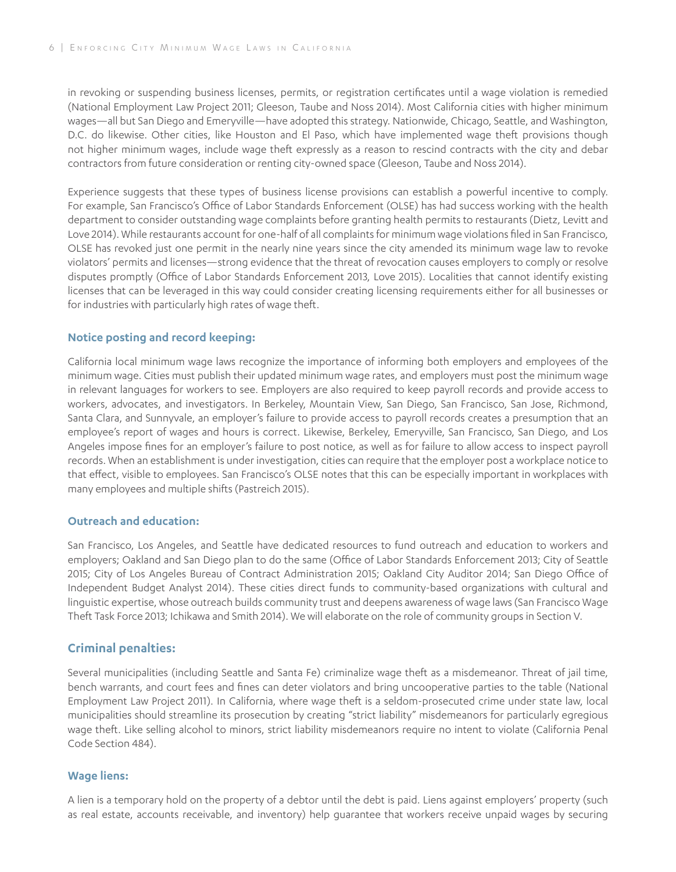in revoking or suspending business licenses, permits, or registration certificates until a wage violation is remedied (National Employment Law Project 2011; Gleeson, Taube and Noss 2014). Most California cities with higher minimum wages—all but San Diego and Emeryville—have adopted this strategy. Nationwide, Chicago, Seattle, and Washington, D.C. do likewise. Other cities, like Houston and El Paso, which have implemented wage theft provisions though not higher minimum wages, include wage theft expressly as a reason to rescind contracts with the city and debar contractors from future consideration or renting city-owned space (Gleeson, Taube and Noss 2014).

Experience suggests that these types of business license provisions can establish a powerful incentive to comply. For example, San Francisco's Office of Labor Standards Enforcement (OLSE) has had success working with the health department to consider outstanding wage complaints before granting health permits to restaurants (Dietz, Levitt and Love 2014). While restaurants account for one-half of all complaints for minimum wage violations filed in San Francisco, OLSE has revoked just one permit in the nearly nine years since the city amended its minimum wage law to revoke violators' permits and licenses—strong evidence that the threat of revocation causes employers to comply or resolve disputes promptly (Office of Labor Standards Enforcement 2013, Love 2015). Localities that cannot identify existing licenses that can be leveraged in this way could consider creating licensing requirements either for all businesses or for industries with particularly high rates of wage theft.

#### **Notice posting and record keeping:**

California local minimum wage laws recognize the importance of informing both employers and employees of the minimum wage. Cities must publish their updated minimum wage rates, and employers must post the minimum wage in relevant languages for workers to see. Employers are also required to keep payroll records and provide access to workers, advocates, and investigators. In Berkeley, Mountain View, San Diego, San Francisco, San Jose, Richmond, Santa Clara, and Sunnyvale, an employer's failure to provide access to payroll records creates a presumption that an employee's report of wages and hours is correct. Likewise, Berkeley, Emeryville, San Francisco, San Diego, and Los Angeles impose fines for an employer's failure to post notice, as well as for failure to allow access to inspect payroll records. When an establishment is under investigation, cities can require that the employer post a workplace notice to that effect, visible to employees. San Francisco's OLSE notes that this can be especially important in workplaces with many employees and multiple shifts (Pastreich 2015).

#### **Outreach and education:**

San Francisco, Los Angeles, and Seattle have dedicated resources to fund outreach and education to workers and employers; Oakland and San Diego plan to do the same (Office of Labor Standards Enforcement 2013; City of Seattle 2015; City of Los Angeles Bureau of Contract Administration 2015; Oakland City Auditor 2014; San Diego Office of Independent Budget Analyst 2014). These cities direct funds to community-based organizations with cultural and linguistic expertise, whose outreach builds community trust and deepens awareness of wage laws (San Francisco Wage Theft Task Force 2013; Ichikawa and Smith 2014). We will elaborate on the role of community groups in Section V.

#### **Criminal penalties:**

Several municipalities (including Seattle and Santa Fe) criminalize wage theft as a misdemeanor. Threat of jail time, bench warrants, and court fees and fines can deter violators and bring uncooperative parties to the table (National Employment Law Project 2011). In California, where wage theft is a seldom-prosecuted crime under state law, local municipalities should streamline its prosecution by creating "strict liability" misdemeanors for particularly egregious wage theft. Like selling alcohol to minors, strict liability misdemeanors require no intent to violate (California Penal Code Section 484).

#### **Wage liens:**

A lien is a temporary hold on the property of a debtor until the debt is paid. Liens against employers' property (such as real estate, accounts receivable, and inventory) help guarantee that workers receive unpaid wages by securing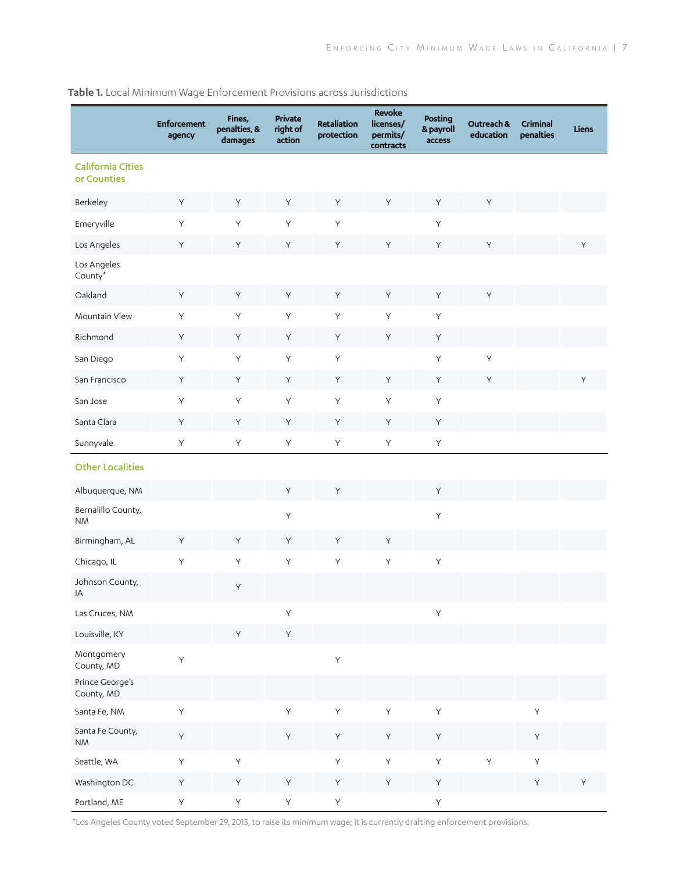**Table 1.** Local Minimum Wage Enforcement Provisions across Jurisdictions

|                                             | <b>Enforcement</b><br>agency | Fines,<br>penalties, &<br>damages | Private<br>right of<br>action | Retaliation<br>protection | Revoke<br>licenses/<br>permits/<br>contracts | Posting<br>& payroll<br>access | Outreach &<br>education | Criminal<br>penalties | Liens |
|---------------------------------------------|------------------------------|-----------------------------------|-------------------------------|---------------------------|----------------------------------------------|--------------------------------|-------------------------|-----------------------|-------|
| <b>California Cities</b><br>or Counties     |                              |                                   |                               |                           |                                              |                                |                         |                       |       |
| Berkeley                                    | Y                            | Y                                 | Y                             | Y                         | Y                                            | Y                              | Y                       |                       |       |
| Emeryville                                  | $\mathsf{Y}$                 | Y                                 | $\sf Y$                       | Y                         |                                              | Υ                              |                         |                       |       |
| Los Angeles                                 | Y                            | Υ                                 | Υ                             | Y                         | Y                                            | Y                              | Y                       |                       | Y     |
| Los Angeles<br>County*                      |                              |                                   |                               |                           |                                              |                                |                         |                       |       |
| Oakland                                     | Y                            | Y                                 | Y                             | Y                         | Y                                            | Υ                              | Υ                       |                       |       |
| Mountain View                               | $\mathsf{Y}$                 | Y                                 | $\sf Y$                       | $\sf Y$                   | $\mathsf{Y}$                                 | Y                              |                         |                       |       |
| Richmond                                    | Y                            | Υ                                 | Υ                             | Y                         | Y                                            | Υ                              |                         |                       |       |
| San Diego                                   | $\sf Y$                      | Y                                 | Υ                             | Υ                         |                                              | Υ                              | $\sf Y$                 |                       |       |
| San Francisco                               | $\sf Y$                      | Υ                                 | Υ                             | Y                         | Υ                                            | Υ                              | Υ                       |                       | Y     |
| San Jose                                    | Y                            | $\sf Y$                           | $\sf Y$                       | Y                         | $\sf Y$                                      | Υ                              |                         |                       |       |
| Santa Clara                                 | Y                            | Y                                 | Υ                             | Y                         | Y                                            | Y                              |                         |                       |       |
| Sunnyvale                                   | $\sf Y$                      | $\sf Y$                           | Y                             | $\sf Y$                   | $\sf Y$                                      | Υ                              |                         |                       |       |
| <b>Other Localities</b>                     |                              |                                   |                               |                           |                                              |                                |                         |                       |       |
| Albuquerque, NM                             |                              |                                   | Y                             | Y                         |                                              | Y                              |                         |                       |       |
| Bernalillo County,<br><b>NM</b>             |                              |                                   | $\sf Y$                       |                           |                                              | Υ                              |                         |                       |       |
| Birmingham, AL                              | Y                            | Y                                 | Y                             | Y                         | Y                                            |                                |                         |                       |       |
| Chicago, IL                                 | $\sf Y$                      | $\sf Y$                           | $\sf Y$                       | $\sf Y$                   | $\sf Y$                                      | Υ                              |                         |                       |       |
| Johnson County,<br>IA                       |                              | Y                                 |                               |                           |                                              |                                |                         |                       |       |
| Las Cruces, NM                              |                              |                                   | $\mathsf Y$                   |                           |                                              | Υ                              |                         |                       |       |
| Louisville, KY                              |                              | Y                                 | $\mathsf Y$                   |                           |                                              |                                |                         |                       |       |
| Montgomery<br>County, MD<br>Prince George's | $\sf Y$                      |                                   |                               | $\sf Y$                   |                                              |                                |                         |                       |       |
| County, MD                                  |                              |                                   |                               |                           |                                              |                                |                         |                       |       |
| Santa Fe, NM<br>Santa Fe County,            | $\sf Y$                      |                                   | $\sf Y$                       | $\sf Y$                   | $\sf Y$                                      | Υ                              |                         | $\sf Y$               |       |
| $\mathsf{N}\mathsf{M}$                      | $\sf Y$                      |                                   | $\mathsf Y$                   | Y                         | Υ                                            | Υ                              |                         | Y                     |       |
| Seattle, WA                                 | $\sf Y$                      | $\sf Y$                           |                               | Y                         | $\mathsf Y$                                  | $\mathsf Y$                    | $\sf Y$                 | $\sf Y$               |       |
| Washington DC                               | Y                            | Υ                                 | Y                             | Y                         | Υ                                            | Y                              |                         | Y                     | Y     |
| Portland, ME                                | Y.                           | Y                                 | Y                             | Y                         |                                              | Y                              |                         |                       |       |

\*Los Angeles County voted September 29, 2015, to raise its minimum wage; it is currently drafting enforcement provisions.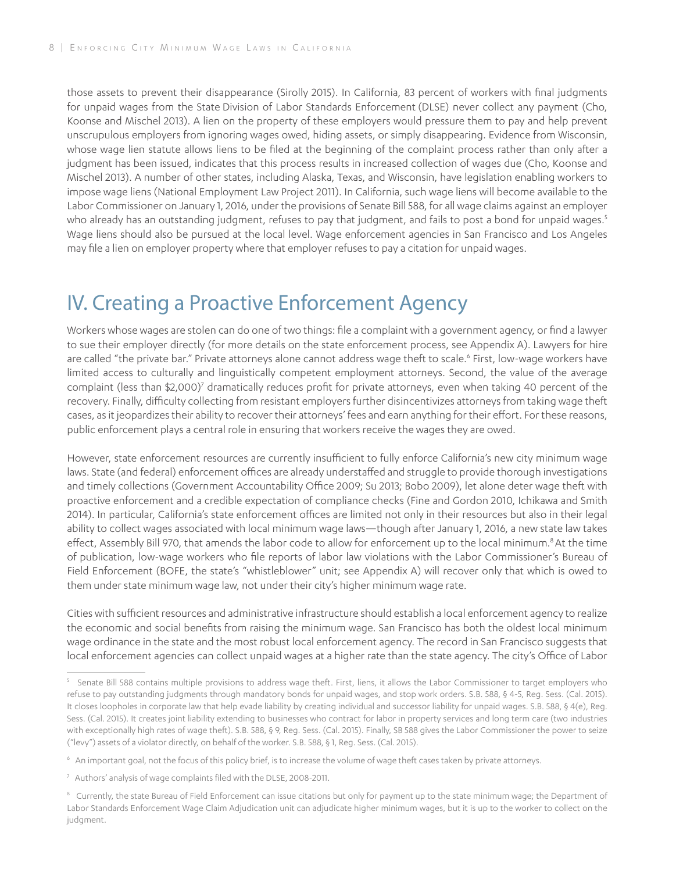those assets to prevent their disappearance (Sirolly 2015). In California, 83 percent of workers with final judgments for unpaid wages from the State Division of Labor Standards Enforcement (DLSE) never collect any payment (Cho, Koonse and Mischel 2013). A lien on the property of these employers would pressure them to pay and help prevent unscrupulous employers from ignoring wages owed, hiding assets, or simply disappearing. Evidence from Wisconsin, whose wage lien statute allows liens to be filed at the beginning of the complaint process rather than only after a judgment has been issued, indicates that this process results in increased collection of wages due (Cho, Koonse and Mischel 2013). A number of other states, including Alaska, Texas, and Wisconsin, have legislation enabling workers to impose wage liens (National Employment Law Project 2011). In California, such wage liens will become available to the Labor Commissioner on January 1, 2016, under the provisions of Senate Bill 588, for all wage claims against an employer who already has an outstanding judgment, refuses to pay that judgment, and fails to post a bond for unpaid wages.<sup>5</sup> Wage liens should also be pursued at the local level. Wage enforcement agencies in San Francisco and Los Angeles may file a lien on employer property where that employer refuses to pay a citation for unpaid wages.

# IV. Creating a Proactive Enforcement Agency

Workers whose wages are stolen can do one of two things: file a complaint with a government agency, or find a lawyer to sue their employer directly (for more details on the state enforcement process, see Appendix A). Lawyers for hire are called "the private bar." Private attorneys alone cannot address wage theft to scale.<sup>6</sup> First, low-wage workers have limited access to culturally and linguistically competent employment attorneys. Second, the value of the average complaint (less than \$2,000)<sup>7</sup> dramatically reduces profit for private attorneys, even when taking 40 percent of the recovery. Finally, difficulty collecting from resistant employers further disincentivizes attorneys from taking wage theft cases, as it jeopardizes their ability to recover their attorneys' fees and earn anything for their effort. For these reasons, public enforcement plays a central role in ensuring that workers receive the wages they are owed.

However, state enforcement resources are currently insufficient to fully enforce California's new city minimum wage laws. State (and federal) enforcement offices are already understaffed and struggle to provide thorough investigations and timely collections (Government Accountability Office 2009; Su 2013; Bobo 2009), let alone deter wage theft with proactive enforcement and a credible expectation of compliance checks (Fine and Gordon 2010, Ichikawa and Smith 2014). In particular, California's state enforcement offices are limited not only in their resources but also in their legal ability to collect wages associated with local minimum wage laws—though after January 1, 2016, a new state law takes effect, Assembly Bill 970, that amends the labor code to allow for enforcement up to the local minimum.<sup>8</sup>At the time of publication, low-wage workers who file reports of labor law violations with the Labor Commissioner's Bureau of Field Enforcement (BOFE, the state's "whistleblower" unit; see Appendix A) will recover only that which is owed to them under state minimum wage law, not under their city's higher minimum wage rate.

Cities with sufficient resources and administrative infrastructure should establish a local enforcement agency to realize the economic and social benefits from raising the minimum wage. San Francisco has both the oldest local minimum wage ordinance in the state and the most robust local enforcement agency. The record in San Francisco suggests that local enforcement agencies can collect unpaid wages at a higher rate than the state agency. The city's Office of Labor

<sup>&</sup>lt;sup>5</sup> Senate Bill 588 contains multiple provisions to address wage theft. First, liens, it allows the Labor Commissioner to target employers who refuse to pay outstanding judgments through mandatory bonds for unpaid wages, and stop work orders. S.B. 588, § 4-5, Reg. Sess. (Cal. 2015). It closes loopholes in corporate law that help evade liability by creating individual and successor liability for unpaid wages. S.B. 588, § 4(e), Reg. Sess. (Cal. 2015). It creates joint liability extending to businesses who contract for labor in property services and long term care (two industries with exceptionally high rates of wage theft). S.B. 588, § 9, Reg. Sess. (Cal. 2015). Finally, SB 588 gives the Labor Commissioner the power to seize ("levy") assets of a violator directly, on behalf of the worker. S.B. 588, § 1, Reg. Sess. (Cal. 2015).

<sup>6</sup> An important goal, not the focus of this policy brief, is to increase the volume of wage theft cases taken by private attorneys.

<sup>&</sup>lt;sup>7</sup> Authors' analysis of wage complaints filed with the DLSE, 2008-2011.

<sup>&</sup>lt;sup>8</sup> Currently, the state Bureau of Field Enforcement can issue citations but only for payment up to the state minimum wage; the Department of Labor Standards Enforcement Wage Claim Adjudication unit can adjudicate higher minimum wages, but it is up to the worker to collect on the judgment.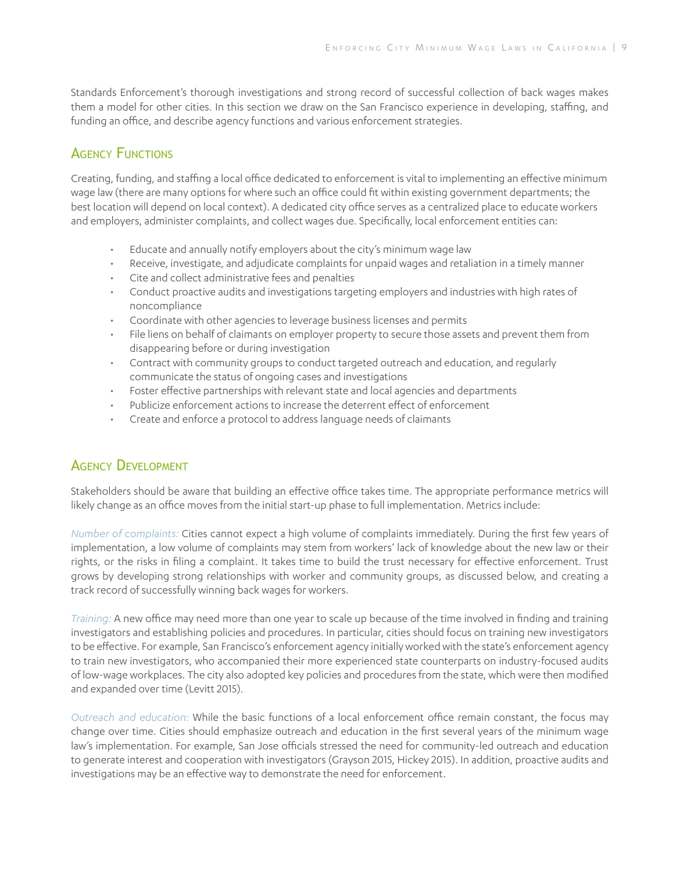Standards Enforcement's thorough investigations and strong record of successful collection of back wages makes them a model for other cities. In this section we draw on the San Francisco experience in developing, staffing, and funding an office, and describe agency functions and various enforcement strategies.

### **AGENCY FUNCTIONS**

Creating, funding, and staffing a local office dedicated to enforcement is vital to implementing an effective minimum wage law (there are many options for where such an office could fit within existing government departments; the best location will depend on local context). A dedicated city office serves as a centralized place to educate workers and employers, administer complaints, and collect wages due. Specifically, local enforcement entities can:

- Educate and annually notify employers about the city's minimum wage law
- Receive, investigate, and adjudicate complaints for unpaid wages and retaliation in a timely manner
- Cite and collect administrative fees and penalties
- Conduct proactive audits and investigations targeting employers and industries with high rates of noncompliance
- Coordinate with other agencies to leverage business licenses and permits
- File liens on behalf of claimants on employer property to secure those assets and prevent them from disappearing before or during investigation
- Contract with community groups to conduct targeted outreach and education, and regularly communicate the status of ongoing cases and investigations
- Foster effective partnerships with relevant state and local agencies and departments
- Publicize enforcement actions to increase the deterrent effect of enforcement
- Create and enforce a protocol to address language needs of claimants

### Agency Development

Stakeholders should be aware that building an effective office takes time. The appropriate performance metrics will likely change as an office moves from the initial start-up phase to full implementation. Metrics include:

*Number of complaints:* Cities cannot expect a high volume of complaints immediately. During the first few years of implementation, a low volume of complaints may stem from workers' lack of knowledge about the new law or their rights, or the risks in filing a complaint. It takes time to build the trust necessary for effective enforcement. Trust grows by developing strong relationships with worker and community groups, as discussed below, and creating a track record of successfully winning back wages for workers.

*Training:* A new office may need more than one year to scale up because of the time involved in finding and training investigators and establishing policies and procedures. In particular, cities should focus on training new investigators to be effective. For example, San Francisco's enforcement agency initially worked with the state's enforcement agency to train new investigators, who accompanied their more experienced state counterparts on industry-focused audits of low-wage workplaces. The city also adopted key policies and procedures from the state, which were then modified and expanded over time (Levitt 2015).

*Outreach and education:* While the basic functions of a local enforcement office remain constant, the focus may change over time. Cities should emphasize outreach and education in the first several years of the minimum wage law's implementation. For example, San Jose officials stressed the need for community-led outreach and education to generate interest and cooperation with investigators (Grayson 2015, Hickey 2015). In addition, proactive audits and investigations may be an effective way to demonstrate the need for enforcement.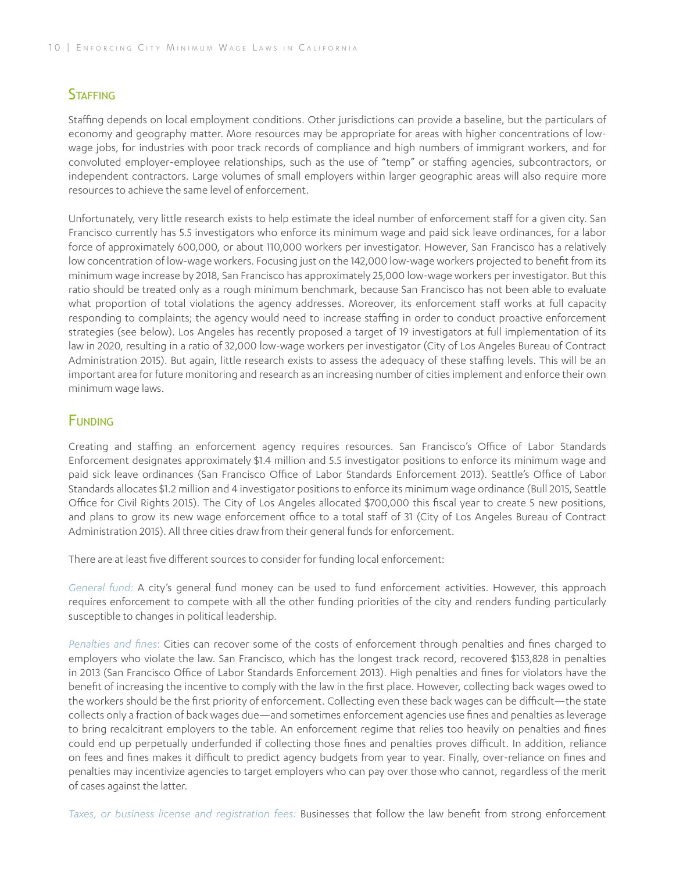### **STAFFING**

Staffing depends on local employment conditions. Other jurisdictions can provide a baseline, but the particulars of economy and geography matter. More resources may be appropriate for areas with higher concentrations of lowwage jobs, for industries with poor track records of compliance and high numbers of immigrant workers, and for convoluted employer-employee relationships, such as the use of "temp" or staffing agencies, subcontractors, or independent contractors. Large volumes of small employers within larger geographic areas will also require more resources to achieve the same level of enforcement.

Unfortunately, very little research exists to help estimate the ideal number of enforcement staff for a given city. San Francisco currently has 5.5 investigators who enforce its minimum wage and paid sick leave ordinances, for a labor force of approximately 600,000, or about 110,000 workers per investigator. However, San Francisco has a relatively low concentration of low-wage workers. Focusing just on the 142,000 low-wage workers projected to benefit from its minimum wage increase by 2018, San Francisco has approximately 25,000 low-wage workers per investigator. But this ratio should be treated only as a rough minimum benchmark, because San Francisco has not been able to evaluate what proportion of total violations the agency addresses. Moreover, its enforcement staff works at full capacity responding to complaints; the agency would need to increase staffing in order to conduct proactive enforcement strategies (see below). Los Angeles has recently proposed a target of 19 investigators at full implementation of its law in 2020, resulting in a ratio of 32,000 low-wage workers per investigator (City of Los Angeles Bureau of Contract Administration 2015). But again, little research exists to assess the adequacy of these staffing levels. This will be an important area for future monitoring and research as an increasing number of cities implement and enforce their own minimum wage laws.

### **FUNDING**

Creating and staffing an enforcement agency requires resources. San Francisco's Office of Labor Standards Enforcement designates approximately \$1.4 million and 5.5 investigator positions to enforce its minimum wage and paid sick leave ordinances (San Francisco Office of Labor Standards Enforcement 2013). Seattle's Office of Labor Standards allocates \$1.2 million and 4 investigator positions to enforce its minimum wage ordinance (Bull 2015, Seattle Office for Civil Rights 2015). The City of Los Angeles allocated \$700,000 this fiscal year to create 5 new positions, and plans to grow its new wage enforcement office to a total staff of 31 (City of Los Angeles Bureau of Contract Administration 2015). All three cities draw from their general funds for enforcement.

There are at least five different sources to consider for funding local enforcement:

*General fund:* A city's general fund money can be used to fund enforcement activities. However, this approach requires enforcement to compete with all the other funding priorities of the city and renders funding particularly susceptible to changes in political leadership.

*Penalties and fines*: Cities can recover some of the costs of enforcement through penalties and fines charged to employers who violate the law. San Francisco, which has the longest track record, recovered \$153,828 in penalties in 2013 (San Francisco Office of Labor Standards Enforcement 2013). High penalties and fines for violators have the benefit of increasing the incentive to comply with the law in the first place. However, collecting back wages owed to the workers should be the first priority of enforcement. Collecting even these back wages can be difficult—the state collects only a fraction of back wages due—and sometimes enforcement agencies use fines and penalties as leverage to bring recalcitrant employers to the table. An enforcement regime that relies too heavily on penalties and fines could end up perpetually underfunded if collecting those fines and penalties proves difficult. In addition, reliance on fees and fines makes it difficult to predict agency budgets from year to year. Finally, over-reliance on fines and penalties may incentivize agencies to target employers who can pay over those who cannot, regardless of the merit of cases against the latter.

*Taxes, or business license and registration fees:* Businesses that follow the law benefit from strong enforcement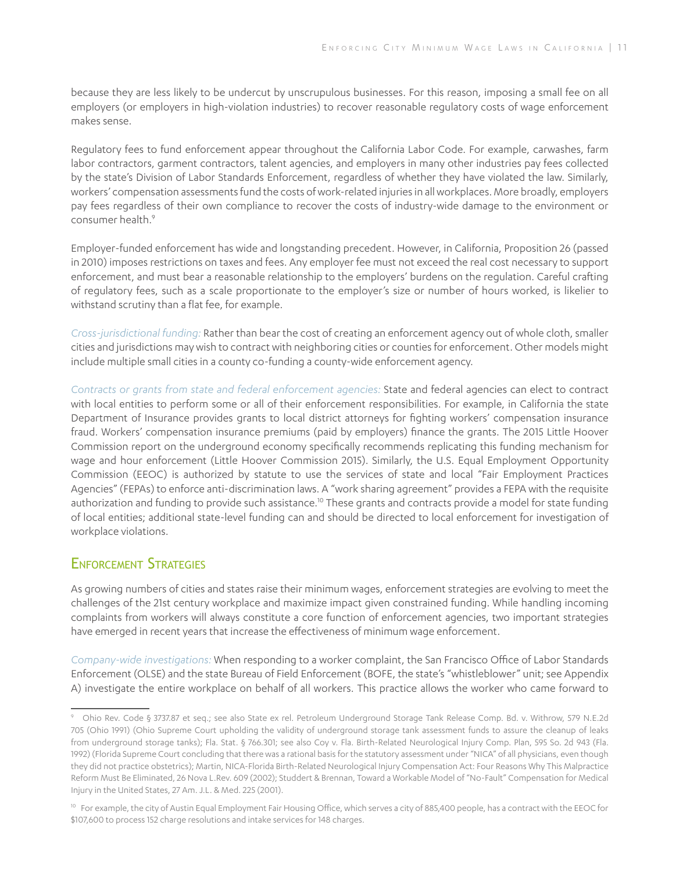because they are less likely to be undercut by unscrupulous businesses. For this reason, imposing a small fee on all employers (or employers in high-violation industries) to recover reasonable regulatory costs of wage enforcement makes sense.

Regulatory fees to fund enforcement appear throughout the California Labor Code. For example, carwashes, farm labor contractors, garment contractors, talent agencies, and employers in many other industries pay fees collected by the state's Division of Labor Standards Enforcement, regardless of whether they have violated the law. Similarly, workers' compensation assessments fund the costs of work-related injuries in all workplaces. More broadly, employers pay fees regardless of their own compliance to recover the costs of industry-wide damage to the environment or consumer health.<sup>9</sup>

Employer-funded enforcement has wide and longstanding precedent. However, in California, Proposition 26 (passed in 2010) imposes restrictions on taxes and fees. Any employer fee must not exceed the real cost necessary to support enforcement, and must bear a reasonable relationship to the employers' burdens on the regulation. Careful crafting of regulatory fees, such as a scale proportionate to the employer's size or number of hours worked, is likelier to withstand scrutiny than a flat fee, for example.

*Cross-jurisdictional funding:* Rather than bear the cost of creating an enforcement agency out of whole cloth, smaller cities and jurisdictions may wish to contract with neighboring cities or counties for enforcement. Other models might include multiple small cities in a county co-funding a county-wide enforcement agency.

*Contracts or grants from state and federal enforcement agencies:* State and federal agencies can elect to contract with local entities to perform some or all of their enforcement responsibilities. For example, in California the state Department of Insurance provides grants to local district attorneys for fighting workers' compensation insurance fraud. Workers' compensation insurance premiums (paid by employers) finance the grants. The 2015 Little Hoover Commission report on the underground economy specifically recommends replicating this funding mechanism for wage and hour enforcement (Little Hoover Commission 2015). Similarly, the U.S. Equal Employment Opportunity Commission (EEOC) is authorized by statute to use the services of state and local "Fair Employment Practices Agencies" (FEPAs) to enforce anti-discrimination laws. A "work sharing agreement" provides a FEPA with the requisite authorization and funding to provide such assistance.<sup>10</sup> These grants and contracts provide a model for state funding of local entities; additional state-level funding can and should be directed to local enforcement for investigation of workplace violations.

### Enforcement Strategies

As growing numbers of cities and states raise their minimum wages, enforcement strategies are evolving to meet the challenges of the 21st century workplace and maximize impact given constrained funding. While handling incoming complaints from workers will always constitute a core function of enforcement agencies, two important strategies have emerged in recent years that increase the effectiveness of minimum wage enforcement.

*Company-wide investigations:* When responding to a worker complaint, the San Francisco Office of Labor Standards Enforcement (OLSE) and the state Bureau of Field Enforcement (BOFE, the state's "whistleblower" unit; see Appendix A) investigate the entire workplace on behalf of all workers. This practice allows the worker who came forward to

<sup>9</sup> Ohio Rev. Code § 3737.87 et seq.; see also State ex rel. Petroleum Underground Storage Tank Release Comp. Bd. v. Withrow, 579 N.E.2d 705 (Ohio 1991) (Ohio Supreme Court upholding the validity of underground storage tank assessment funds to assure the cleanup of leaks from underground storage tanks); Fla. Stat. § 766.301; see also Coy v. Fla. Birth-Related Neurological Injury Comp. Plan, 595 So. 2d 943 (Fla. 1992) (Florida Supreme Court concluding that there was a rational basis for the statutory assessment under "NICA" of all physicians, even though they did not practice obstetrics); Martin, NICA-Florida Birth-Related Neurological Injury Compensation Act: Four Reasons Why This Malpractice Reform Must Be Eliminated, 26 Nova L.Rev. 609 (2002); Studdert & Brennan, Toward a Workable Model of "No-Fault" Compensation for Medical Injury in the United States, 27 Am. J.L. & Med. 225 (2001).

<sup>&</sup>lt;sup>10</sup> For example, the city of Austin Equal Employment Fair Housing Office, which serves a city of 885,400 people, has a contract with the EEOC for \$107,600 to process 152 charge resolutions and intake services for 148 charges.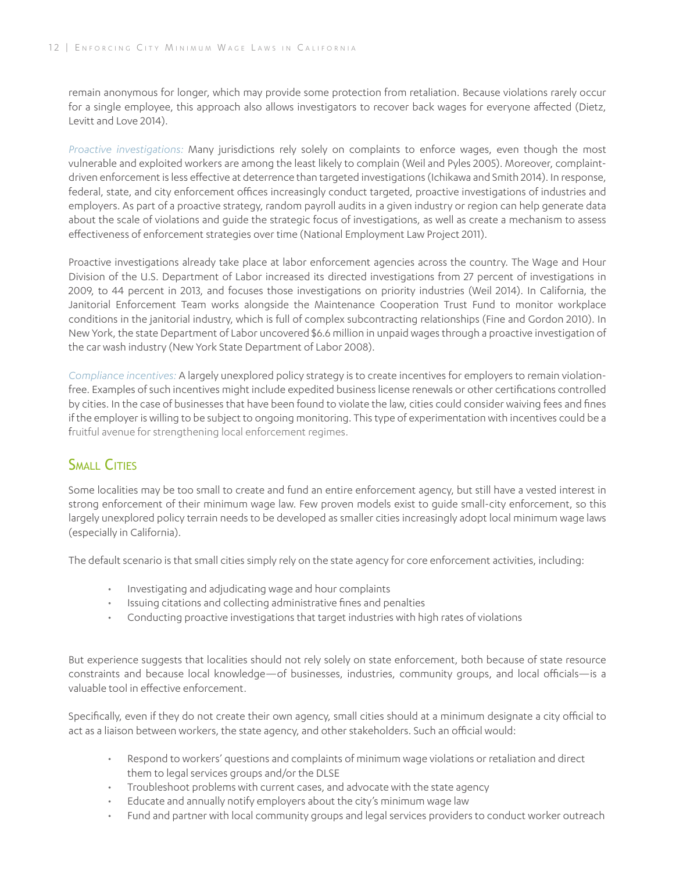remain anonymous for longer, which may provide some protection from retaliation. Because violations rarely occur for a single employee, this approach also allows investigators to recover back wages for everyone affected (Dietz, Levitt and Love 2014).

*Proactive investigations:* Many jurisdictions rely solely on complaints to enforce wages, even though the most vulnerable and exploited workers are among the least likely to complain (Weil and Pyles 2005). Moreover, complaintdriven enforcement is less effective at deterrence than targeted investigations (Ichikawa and Smith 2014). In response, federal, state, and city enforcement offices increasingly conduct targeted, proactive investigations of industries and employers. As part of a proactive strategy, random payroll audits in a given industry or region can help generate data about the scale of violations and guide the strategic focus of investigations, as well as create a mechanism to assess effectiveness of enforcement strategies over time (National Employment Law Project 2011).

Proactive investigations already take place at labor enforcement agencies across the country. The Wage and Hour Division of the U.S. Department of Labor increased its directed investigations from 27 percent of investigations in 2009, to 44 percent in 2013, and focuses those investigations on priority industries (Weil 2014). In California, the Janitorial Enforcement Team works alongside the Maintenance Cooperation Trust Fund to monitor workplace conditions in the janitorial industry, which is full of complex subcontracting relationships (Fine and Gordon 2010). In New York, the state Department of Labor uncovered \$6.6 million in unpaid wages through a proactive investigation of the car wash industry (New York State Department of Labor 2008).

*Compliance incentives:* A largely unexplored policy strategy is to create incentives for employers to remain violationfree. Examples of such incentives might include expedited business license renewals or other certifications controlled by cities. In the case of businesses that have been found to violate the law, cities could consider waiving fees and fines if the employer is willing to be subject to ongoing monitoring. This type of experimentation with incentives could be a fruitful avenue for strengthening local enforcement regimes.

## SMALL CITIES

Some localities may be too small to create and fund an entire enforcement agency, but still have a vested interest in strong enforcement of their minimum wage law. Few proven models exist to guide small-city enforcement, so this largely unexplored policy terrain needs to be developed as smaller cities increasingly adopt local minimum wage laws (especially in California).

The default scenario is that small cities simply rely on the state agency for core enforcement activities, including:

- Investigating and adjudicating wage and hour complaints
- Issuing citations and collecting administrative fines and penalties
- Conducting proactive investigations that target industries with high rates of violations

But experience suggests that localities should not rely solely on state enforcement, both because of state resource constraints and because local knowledge—of businesses, industries, community groups, and local officials—is a valuable tool in effective enforcement.

Specifically, even if they do not create their own agency, small cities should at a minimum designate a city official to act as a liaison between workers, the state agency, and other stakeholders. Such an official would:

- Respond to workers' questions and complaints of minimum wage violations or retaliation and direct them to legal services groups and/or the DLSE
- Troubleshoot problems with current cases, and advocate with the state agency
- Educate and annually notify employers about the city's minimum wage law
- Fund and partner with local community groups and legal services providers to conduct worker outreach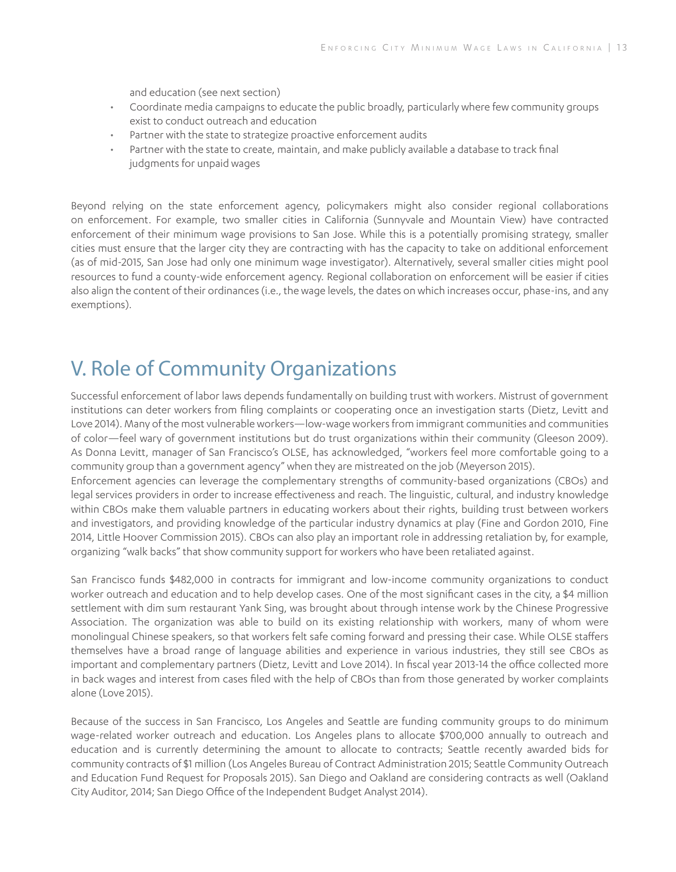and education (see next section)

- Coordinate media campaigns to educate the public broadly, particularly where few community groups exist to conduct outreach and education
- Partner with the state to strategize proactive enforcement audits
- Partner with the state to create, maintain, and make publicly available a database to track final judgments for unpaid wages

Beyond relying on the state enforcement agency, policymakers might also consider regional collaborations on enforcement. For example, two smaller cities in California (Sunnyvale and Mountain View) have contracted enforcement of their minimum wage provisions to San Jose. While this is a potentially promising strategy, smaller cities must ensure that the larger city they are contracting with has the capacity to take on additional enforcement (as of mid-2015, San Jose had only one minimum wage investigator). Alternatively, several smaller cities might pool resources to fund a county-wide enforcement agency. Regional collaboration on enforcement will be easier if cities also align the content of their ordinances (i.e., the wage levels, the dates on which increases occur, phase-ins, and any exemptions).

# V. Role of Community Organizations

Successful enforcement of labor laws depends fundamentally on building trust with workers. Mistrust of government institutions can deter workers from filing complaints or cooperating once an investigation starts (Dietz, Levitt and Love 2014). Many of the most vulnerable workers—low-wage workers from immigrant communities and communities of color—feel wary of government institutions but do trust organizations within their community (Gleeson 2009). As Donna Levitt, manager of San Francisco's OLSE, has acknowledged, "workers feel more comfortable going to a community group than a government agency" when they are mistreated on the job (Meyerson 2015).

Enforcement agencies can leverage the complementary strengths of community-based organizations (CBOs) and legal services providers in order to increase effectiveness and reach. The linguistic, cultural, and industry knowledge within CBOs make them valuable partners in educating workers about their rights, building trust between workers and investigators, and providing knowledge of the particular industry dynamics at play (Fine and Gordon 2010, Fine 2014, Little Hoover Commission 2015). CBOs can also play an important role in addressing retaliation by, for example, organizing "walk backs" that show community support for workers who have been retaliated against.

San Francisco funds \$482,000 in contracts for immigrant and low-income community organizations to conduct worker outreach and education and to help develop cases. One of the most significant cases in the city, a \$4 million settlement with dim sum restaurant Yank Sing, was brought about through intense work by the Chinese Progressive Association. The organization was able to build on its existing relationship with workers, many of whom were monolingual Chinese speakers, so that workers felt safe coming forward and pressing their case. While OLSE staffers themselves have a broad range of language abilities and experience in various industries, they still see CBOs as important and complementary partners (Dietz, Levitt and Love 2014). In fiscal year 2013-14 the office collected more in back wages and interest from cases filed with the help of CBOs than from those generated by worker complaints alone (Love 2015).

Because of the success in San Francisco, Los Angeles and Seattle are funding community groups to do minimum wage-related worker outreach and education. Los Angeles plans to allocate \$700,000 annually to outreach and education and is currently determining the amount to allocate to contracts; Seattle recently awarded bids for community contracts of \$1 million (Los Angeles Bureau of Contract Administration 2015; Seattle Community Outreach and Education Fund Request for Proposals 2015). San Diego and Oakland are considering contracts as well (Oakland City Auditor, 2014; San Diego Office of the Independent Budget Analyst 2014).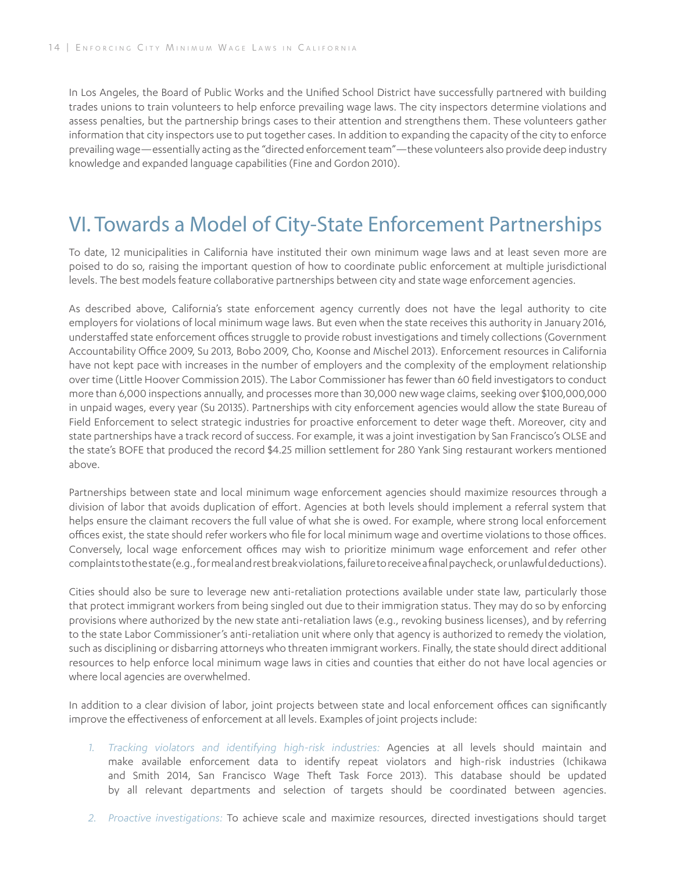In Los Angeles, the Board of Public Works and the Unified School District have successfully partnered with building trades unions to train volunteers to help enforce prevailing wage laws. The city inspectors determine violations and assess penalties, but the partnership brings cases to their attention and strengthens them. These volunteers gather information that city inspectors use to put together cases. In addition to expanding the capacity of the city to enforce prevailing wage—essentially acting as the "directed enforcement team"—these volunteers also provide deep industry knowledge and expanded language capabilities (Fine and Gordon 2010).

# VI. Towards a Model of City-State Enforcement Partnerships

To date, 12 municipalities in California have instituted their own minimum wage laws and at least seven more are poised to do so, raising the important question of how to coordinate public enforcement at multiple jurisdictional levels. The best models feature collaborative partnerships between city and state wage enforcement agencies.

As described above, California's state enforcement agency currently does not have the legal authority to cite employers for violations of local minimum wage laws. But even when the state receives this authority in January 2016, understaffed state enforcement offices struggle to provide robust investigations and timely collections (Government Accountability Office 2009, Su 2013, Bobo 2009, Cho, Koonse and Mischel 2013). Enforcement resources in California have not kept pace with increases in the number of employers and the complexity of the employment relationship over time (Little Hoover Commission 2015). The Labor Commissioner has fewer than 60 field investigators to conduct more than 6,000 inspections annually, and processes more than 30,000 new wage claims, seeking over \$100,000,000 in unpaid wages, every year (Su 20135). Partnerships with city enforcement agencies would allow the state Bureau of Field Enforcement to select strategic industries for proactive enforcement to deter wage theft. Moreover, city and state partnerships have a track record of success. For example, it was a joint investigation by San Francisco's OLSE and the state's BOFE that produced the record \$4.25 million settlement for 280 Yank Sing restaurant workers mentioned above.

Partnerships between state and local minimum wage enforcement agencies should maximize resources through a division of labor that avoids duplication of effort. Agencies at both levels should implement a referral system that helps ensure the claimant recovers the full value of what she is owed. For example, where strong local enforcement offices exist, the state should refer workers who file for local minimum wage and overtime violations to those offices. Conversely, local wage enforcement offices may wish to prioritize minimum wage enforcement and refer other complaints to the state (e.g., for meal and rest break violations, failure to receive a final paycheck, or unlawful deductions).

Cities should also be sure to leverage new anti-retaliation protections available under state law, particularly those that protect immigrant workers from being singled out due to their immigration status. They may do so by enforcing provisions where authorized by the new state anti-retaliation laws (e.g., revoking business licenses), and by referring to the state Labor Commissioner's anti-retaliation unit where only that agency is authorized to remedy the violation, such as disciplining or disbarring attorneys who threaten immigrant workers. Finally, the state should direct additional resources to help enforce local minimum wage laws in cities and counties that either do not have local agencies or where local agencies are overwhelmed.

In addition to a clear division of labor, joint projects between state and local enforcement offices can significantly improve the effectiveness of enforcement at all levels. Examples of joint projects include:

- *1. Tracking violators and identifying high-risk industries:* Agencies at all levels should maintain and make available enforcement data to identify repeat violators and high-risk industries (Ichikawa and Smith 2014, San Francisco Wage Theft Task Force 2013). This database should be updated by all relevant departments and selection of targets should be coordinated between agencies.
- *2. Proactive investigations:* To achieve scale and maximize resources, directed investigations should target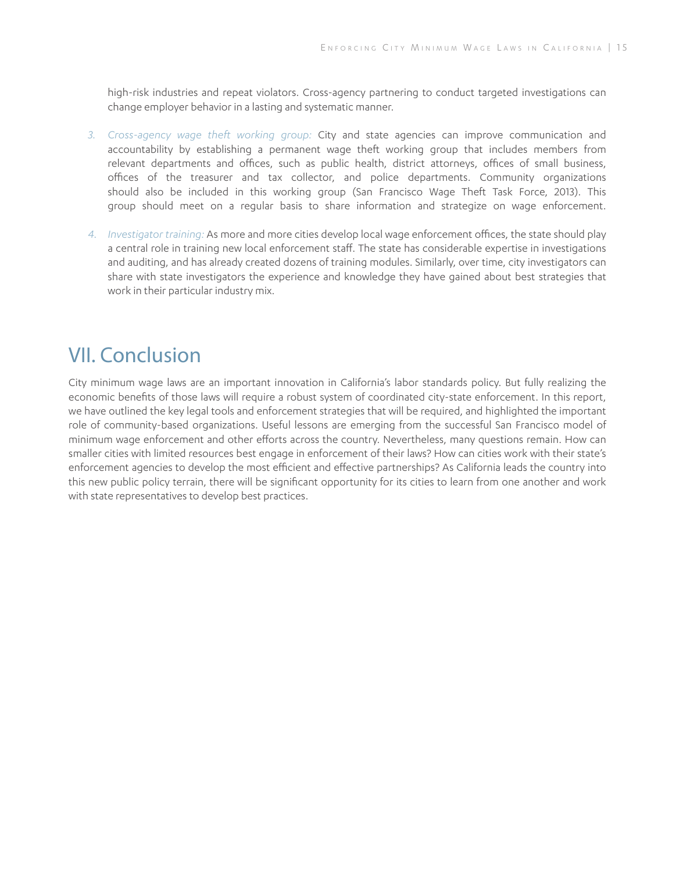high-risk industries and repeat violators. Cross-agency partnering to conduct targeted investigations can change employer behavior in a lasting and systematic manner.

- *3. Cross-agency wage theft working group:* City and state agencies can improve communication and accountability by establishing a permanent wage theft working group that includes members from relevant departments and offices, such as public health, district attorneys, offices of small business, offices of the treasurer and tax collector, and police departments. Community organizations should also be included in this working group (San Francisco Wage Theft Task Force, 2013). This group should meet on a regular basis to share information and strategize on wage enforcement.
- *4. Investigator training:* As more and more cities develop local wage enforcement offices, the state should play a central role in training new local enforcement staff. The state has considerable expertise in investigations and auditing, and has already created dozens of training modules. Similarly, over time, city investigators can share with state investigators the experience and knowledge they have gained about best strategies that work in their particular industry mix.

# VII. Conclusion

City minimum wage laws are an important innovation in California's labor standards policy. But fully realizing the economic benefits of those laws will require a robust system of coordinated city-state enforcement. In this report, we have outlined the key legal tools and enforcement strategies that will be required, and highlighted the important role of community-based organizations. Useful lessons are emerging from the successful San Francisco model of minimum wage enforcement and other efforts across the country. Nevertheless, many questions remain. How can smaller cities with limited resources best engage in enforcement of their laws? How can cities work with their state's enforcement agencies to develop the most efficient and effective partnerships? As California leads the country into this new public policy terrain, there will be significant opportunity for its cities to learn from one another and work with state representatives to develop best practices.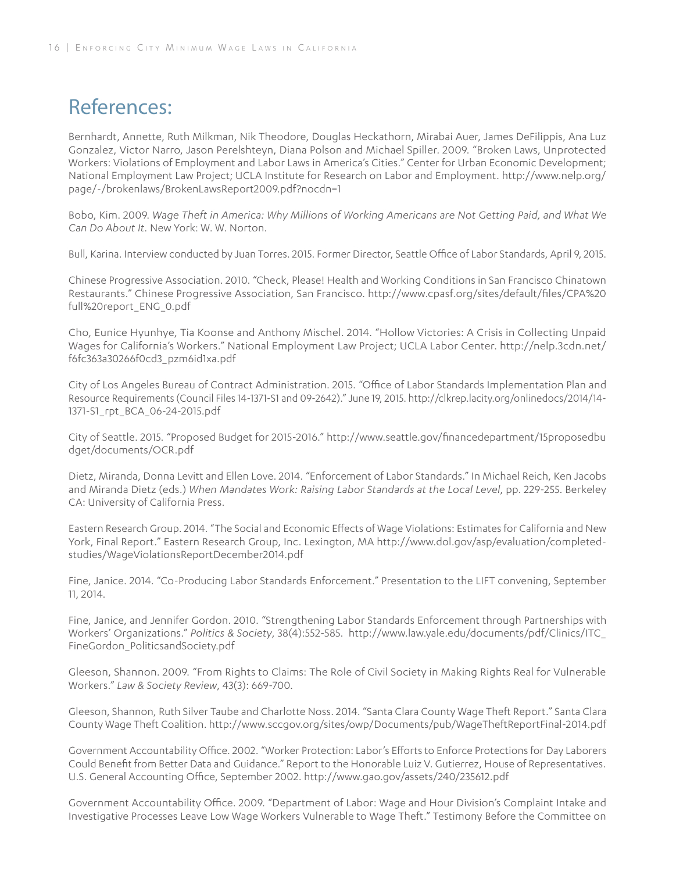# References:

Bernhardt, Annette, Ruth Milkman, Nik Theodore, Douglas Heckathorn, Mirabai Auer, James DeFilippis, Ana Luz Gonzalez, Victor Narro, Jason Perelshteyn, Diana Polson and Michael Spiller. 2009. "Broken Laws, Unprotected Workers: Violations of Employment and Labor Laws in America's Cities." Center for Urban Economic Development; National Employment Law Project; UCLA Institute for Research on Labor and Employment. http://www.nelp.org/ page/-/brokenlaws/BrokenLawsReport2009.pdf?nocdn=1

Bobo, Kim. 2009. *Wage Theft in America: Why Millions of Working Americans are Not Getting Paid, and What We Can Do About It.* New York: W. W. Norton.

Bull, Karina. Interview conducted by Juan Torres. 2015. Former Director, Seattle Office of Labor Standards, April 9, 2015.

Chinese Progressive Association. 2010. "Check, Please! Health and Working Conditions in San Francisco Chinatown Restaurants." Chinese Progressive Association, San Francisco. http://www.cpasf.org/sites/default/files/CPA%20 full%20report\_ENG\_0.pdf

Cho, Eunice Hyunhye, Tia Koonse and Anthony Mischel. 2014. "Hollow Victories: A Crisis in Collecting Unpaid Wages for California's Workers." National Employment Law Project; UCLA Labor Center. http://nelp.3cdn.net/ f6fc363a30266f0cd3\_pzm6id1xa.pdf

City of Los Angeles Bureau of Contract Administration. 2015. "Office of Labor Standards Implementation Plan and Resource Requirements (Council Files 14-1371-S1 and 09-2642)." June 19, 2015. http://clkrep.lacity.org/onlinedocs/2014/14- 1371-S1\_rpt\_BCA\_06-24-2015.pdf

City of Seattle. 2015. "Proposed Budget for 2015-2016." http://www.seattle.gov/financedepartment/15proposedbu dget/documents/OCR.pdf

Dietz, Miranda, Donna Levitt and Ellen Love. 2014. "Enforcement of Labor Standards." In Michael Reich, Ken Jacobs and Miranda Dietz (eds.) *When Mandates Work: Raising Labor Standards at the Local Level*, pp. 229-255. Berkeley CA: University of California Press.

Eastern Research Group. 2014. "The Social and Economic Effects of Wage Violations: Estimates for California and New York, Final Report." Eastern Research Group, Inc. Lexington, MA http://www.dol.gov/asp/evaluation/completedstudies/WageViolationsReportDecember2014.pdf

Fine, Janice. 2014. "Co-Producing Labor Standards Enforcement." Presentation to the LIFT convening, September 11, 2014.

Fine, Janice, and Jennifer Gordon. 2010. "Strengthening Labor Standards Enforcement through Partnerships with Workers' Organizations." *Politics & Society*, 38(4):552-585. http://www.law.yale.edu/documents/pdf/Clinics/ITC\_ FineGordon\_PoliticsandSociety.pdf

Gleeson, Shannon. 2009. "From Rights to Claims: The Role of Civil Society in Making Rights Real for Vulnerable Workers." *Law & Society Review*, 43(3): 669-700.

Gleeson, Shannon, Ruth Silver Taube and Charlotte Noss. 2014. "Santa Clara County Wage Theft Report." Santa Clara County Wage Theft Coalition. http://www.sccgov.org/sites/owp/Documents/pub/WageTheftReportFinal-2014.pdf

Government Accountability Office. 2002. "Worker Protection: Labor's Efforts to Enforce Protections for Day Laborers Could Benefit from Better Data and Guidance." Report to the Honorable Luiz V. Gutierrez, House of Representatives. U.S. General Accounting Office, September 2002. http://www.gao.gov/assets/240/235612.pdf

Government Accountability Office. 2009. "Department of Labor: Wage and Hour Division's Complaint Intake and Investigative Processes Leave Low Wage Workers Vulnerable to Wage Theft." Testimony Before the Committee on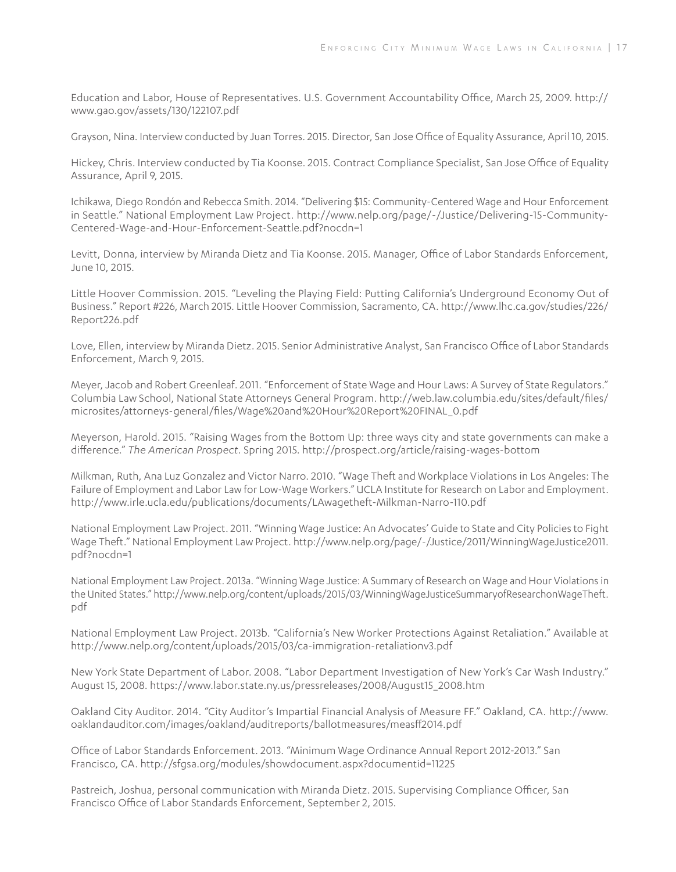Education and Labor, House of Representatives. U.S. Government Accountability Office, March 25, 2009. http:// www.gao.gov/assets/130/122107.pdf

Grayson, Nina. Interview conducted by Juan Torres. 2015. Director, San Jose Office of Equality Assurance, April 10, 2015.

Hickey, Chris. Interview conducted by Tia Koonse. 2015. Contract Compliance Specialist, San Jose Office of Equality Assurance, April 9, 2015.

Ichikawa, Diego Rondón and Rebecca Smith. 2014. "Delivering \$15: Community-Centered Wage and Hour Enforcement in Seattle." National Employment Law Project. http://www.nelp.org/page/-/Justice/Delivering-15-Community-Centered-Wage-and-Hour-Enforcement-Seattle.pdf?nocdn=1

Levitt, Donna, interview by Miranda Dietz and Tia Koonse. 2015. Manager, Office of Labor Standards Enforcement, June 10, 2015.

Little Hoover Commission. 2015. "Leveling the Playing Field: Putting California's Underground Economy Out of Business." Report #226, March 2015. Little Hoover Commission, Sacramento, CA. http://www.lhc.ca.gov/studies/226/ Report226.pdf

Love, Ellen, interview by Miranda Dietz. 2015. Senior Administrative Analyst, San Francisco Office of Labor Standards Enforcement, March 9, 2015.

Meyer, Jacob and Robert Greenleaf. 2011. "Enforcement of State Wage and Hour Laws: A Survey of State Regulators." Columbia Law School, National State Attorneys General Program. http://web.law.columbia.edu/sites/default/files/ microsites/attorneys-general/files/Wage%20and%20Hour%20Report%20FINAL\_0.pdf

Meyerson, Harold. 2015. "Raising Wages from the Bottom Up: three ways city and state governments can make a difference." *The American Prospect.* Spring 2015. http://prospect.org/article/raising-wages-bottom

Milkman, Ruth, Ana Luz Gonzalez and Victor Narro. 2010. "Wage Theft and Workplace Violations in Los Angeles: The Failure of Employment and Labor Law for Low-Wage Workers." UCLA Institute for Research on Labor and Employment. http://www.irle.ucla.edu/publications/documents/LAwagetheft-Milkman-Narro-110.pdf

National Employment Law Project. 2011. "Winning Wage Justice: An Advocates' Guide to State and City Policies to Fight Wage Theft." National Employment Law Project. http://www.nelp.org/page/-/Justice/2011/WinningWageJustice2011. pdf?nocdn=1

National Employment Law Project. 2013a. "Winning Wage Justice: A Summary of Research on Wage and Hour Violations in the United States." http://www.nelp.org/content/uploads/2015/03/WinningWageJusticeSummaryofResearchonWageTheft. pdf

National Employment Law Project. 2013b. "California's New Worker Protections Against Retaliation." Available at http://www.nelp.org/content/uploads/2015/03/ca-immigration-retaliationv3.pdf

New York State Department of Labor. 2008. "Labor Department Investigation of New York's Car Wash Industry." August 15, 2008. https://www.labor.state.ny.us/pressreleases/2008/August15\_2008.htm

Oakland City Auditor. 2014. "City Auditor's Impartial Financial Analysis of Measure FF." Oakland, CA. http://www. oaklandauditor.com/images/oakland/auditreports/ballotmeasures/measff2014.pdf

Office of Labor Standards Enforcement. 2013. "Minimum Wage Ordinance Annual Report 2012-2013." San Francisco, CA. http://sfgsa.org/modules/showdocument.aspx?documentid=11225

Pastreich, Joshua, personal communication with Miranda Dietz. 2015. Supervising Compliance Officer, San Francisco Office of Labor Standards Enforcement, September 2, 2015.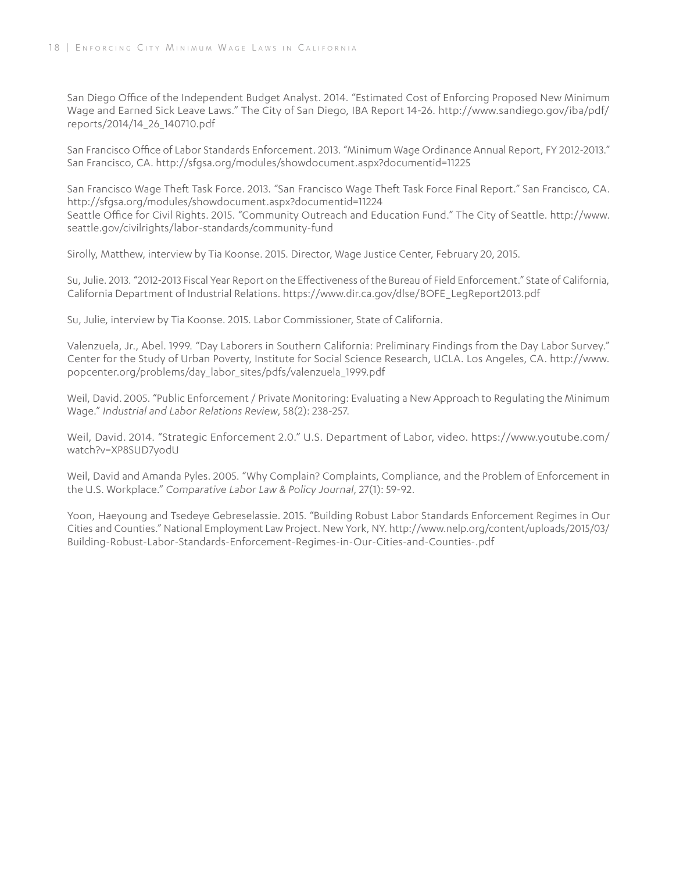San Diego Office of the Independent Budget Analyst. 2014. "Estimated Cost of Enforcing Proposed New Minimum Wage and Earned Sick Leave Laws." The City of San Diego, IBA Report 14-26. http://www.sandiego.gov/iba/pdf/ reports/2014/14\_26\_140710.pdf

San Francisco Office of Labor Standards Enforcement. 2013. "Minimum Wage Ordinance Annual Report, FY 2012-2013." San Francisco, CA. http://sfgsa.org/modules/showdocument.aspx?documentid=11225

San Francisco Wage Theft Task Force. 2013. "San Francisco Wage Theft Task Force Final Report." San Francisco, CA. http://sfgsa.org/modules/showdocument.aspx?documentid=11224 Seattle Office for Civil Rights. 2015. "Community Outreach and Education Fund." The City of Seattle. http://www. seattle.gov/civilrights/labor-standards/community-fund

Sirolly, Matthew, interview by Tia Koonse. 2015. Director, Wage Justice Center, February 20, 2015.

Su, Julie. 2013. "2012-2013 Fiscal Year Report on the Effectiveness of the Bureau of Field Enforcement." State of California, California Department of Industrial Relations. https://www.dir.ca.gov/dlse/BOFE\_LegReport2013.pdf

Su, Julie, interview by Tia Koonse. 2015. Labor Commissioner, State of California.

Valenzuela, Jr., Abel. 1999. "Day Laborers in Southern California: Preliminary Findings from the Day Labor Survey." Center for the Study of Urban Poverty, Institute for Social Science Research, UCLA. Los Angeles, CA. http://www. popcenter.org/problems/day\_labor\_sites/pdfs/valenzuela\_1999.pdf

Weil, David. 2005. "Public Enforcement / Private Monitoring: Evaluating a New Approach to Regulating the Minimum Wage." *Industrial and Labor Relations Review*, 58(2): 238-257.

Weil, David. 2014. "Strategic Enforcement 2.0." U.S. Department of Labor, video. https://www.youtube.com/ watch?v=XP8SUD7yodU

Weil, David and Amanda Pyles. 2005. "Why Complain? Complaints, Compliance, and the Problem of Enforcement in the U.S. Workplace." *Comparative Labor Law & Policy Journal*, 27(1): 59-92.

Yoon, Haeyoung and Tsedeye Gebreselassie. 2015. "Building Robust Labor Standards Enforcement Regimes in Our Cities and Counties." National Employment Law Project. New York, NY. http://www.nelp.org/content/uploads/2015/03/ Building-Robust-Labor-Standards-Enforcement-Regimes-in-Our-Cities-and-Counties-.pdf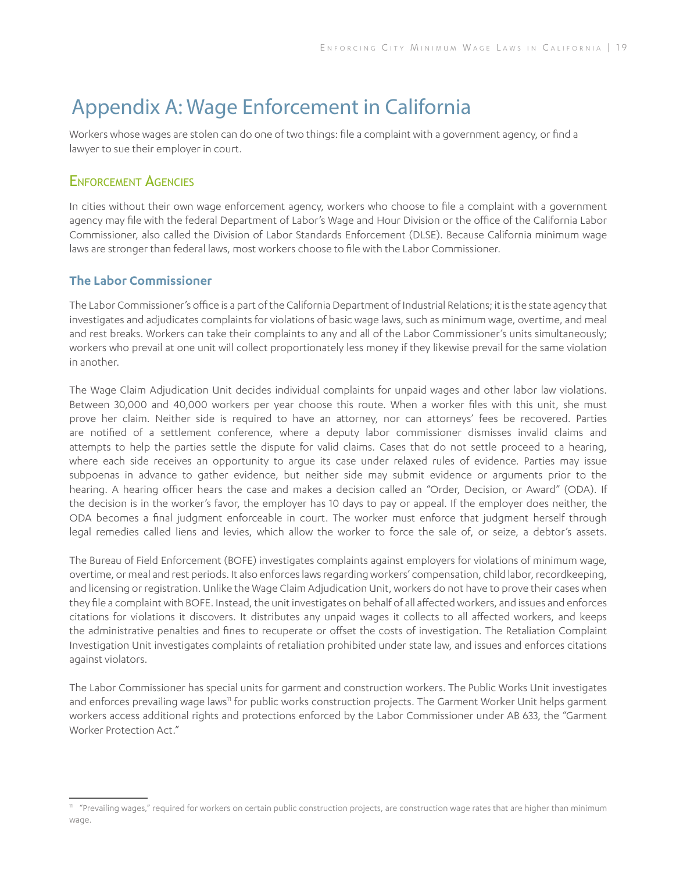# Appendix A: Wage Enforcement in California

Workers whose wages are stolen can do one of two things: file a complaint with a government agency, or find a lawyer to sue their employer in court.

### ENFORCEMENT AGENCIFS

In cities without their own wage enforcement agency, workers who choose to file a complaint with a government agency may file with the federal Department of Labor's Wage and Hour Division or the office of the California Labor Commissioner, also called the Division of Labor Standards Enforcement (DLSE). Because California minimum wage laws are stronger than federal laws, most workers choose to file with the Labor Commissioner.

### **The Labor Commissioner**

The Labor Commissioner's office is a part of the California Department of Industrial Relations; it is the state agency that investigates and adjudicates complaints for violations of basic wage laws, such as minimum wage, overtime, and meal and rest breaks. Workers can take their complaints to any and all of the Labor Commissioner's units simultaneously; workers who prevail at one unit will collect proportionately less money if they likewise prevail for the same violation in another.

The Wage Claim Adjudication Unit decides individual complaints for unpaid wages and other labor law violations. Between 30,000 and 40,000 workers per year choose this route. When a worker files with this unit, she must prove her claim. Neither side is required to have an attorney, nor can attorneys' fees be recovered. Parties are notified of a settlement conference, where a deputy labor commissioner dismisses invalid claims and attempts to help the parties settle the dispute for valid claims. Cases that do not settle proceed to a hearing, where each side receives an opportunity to argue its case under relaxed rules of evidence. Parties may issue subpoenas in advance to gather evidence, but neither side may submit evidence or arguments prior to the hearing. A hearing officer hears the case and makes a decision called an "Order, Decision, or Award" (ODA). If the decision is in the worker's favor, the employer has 10 days to pay or appeal. If the employer does neither, the ODA becomes a final judgment enforceable in court. The worker must enforce that judgment herself through legal remedies called liens and levies, which allow the worker to force the sale of, or seize, a debtor's assets.

The Bureau of Field Enforcement (BOFE) investigates complaints against employers for violations of minimum wage, overtime, or meal and rest periods. It also enforces laws regarding workers' compensation, child labor, recordkeeping, and licensing or registration. Unlike the Wage Claim Adjudication Unit, workers do not have to prove their cases when they file a complaint with BOFE. Instead, the unit investigates on behalf of all affected workers, and issues and enforces citations for violations it discovers. It distributes any unpaid wages it collects to all affected workers, and keeps the administrative penalties and fines to recuperate or offset the costs of investigation. The Retaliation Complaint Investigation Unit investigates complaints of retaliation prohibited under state law, and issues and enforces citations against violators.

The Labor Commissioner has special units for garment and construction workers. The Public Works Unit investigates and enforces prevailing wage laws<sup>11</sup> for public works construction projects. The Garment Worker Unit helps garment workers access additional rights and protections enforced by the Labor Commissioner under AB 633, the "Garment Worker Protection Act."

<sup>&</sup>lt;sup>11</sup> "Prevailing wages," required for workers on certain public construction projects, are construction wage rates that are higher than minimum wage.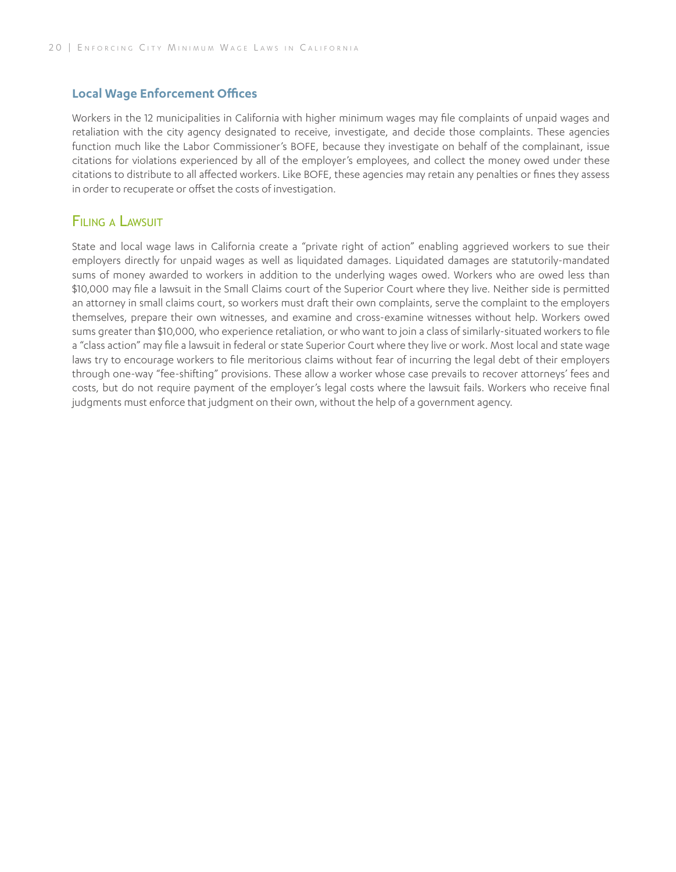#### **Local Wage Enforcement Offices**

Workers in the 12 municipalities in California with higher minimum wages may file complaints of unpaid wages and retaliation with the city agency designated to receive, investigate, and decide those complaints. These agencies function much like the Labor Commissioner's BOFE, because they investigate on behalf of the complainant, issue citations for violations experienced by all of the employer's employees, and collect the money owed under these citations to distribute to all affected workers. Like BOFE, these agencies may retain any penalties or fines they assess in order to recuperate or offset the costs of investigation.

### Filing <sup>a</sup> Lawsuit

State and local wage laws in California create a "private right of action" enabling aggrieved workers to sue their employers directly for unpaid wages as well as liquidated damages. Liquidated damages are statutorily-mandated sums of money awarded to workers in addition to the underlying wages owed. Workers who are owed less than \$10,000 may file a lawsuit in the Small Claims court of the Superior Court where they live. Neither side is permitted an attorney in small claims court, so workers must draft their own complaints, serve the complaint to the employers themselves, prepare their own witnesses, and examine and cross-examine witnesses without help. Workers owed sums greater than \$10,000, who experience retaliation, or who want to join a class of similarly-situated workers to file a "class action" may file a lawsuit in federal or state Superior Court where they live or work. Most local and state wage laws try to encourage workers to file meritorious claims without fear of incurring the legal debt of their employers through one-way "fee-shifting" provisions. These allow a worker whose case prevails to recover attorneys' fees and costs, but do not require payment of the employer's legal costs where the lawsuit fails. Workers who receive final judgments must enforce that judgment on their own, without the help of a government agency.